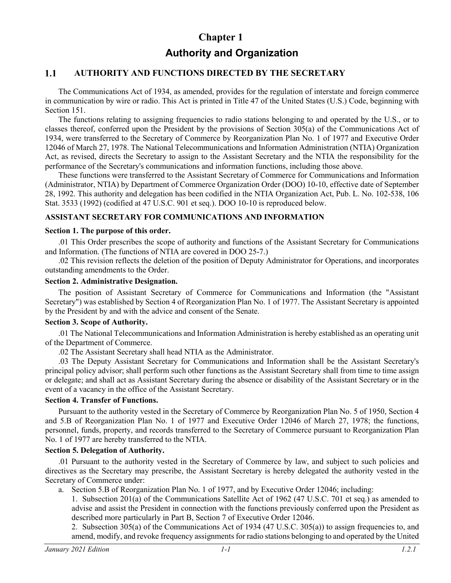# **Chapter 1**

# **Authority and Organization**

#### $1.1$ **AUTHORITY AND FUNCTIONS DIRECTED BY THE SECRETARY**

The Communications Act of 1934, as amended, provides for the regulation of interstate and foreign commerce in communication by wire or radio. This Act is printed in Title 47 of the United States (U.S.) Code, beginning with Section 151.

The functions relating to assigning frequencies to radio stations belonging to and operated by the U.S., or to classes thereof, conferred upon the President by the provisions of Section 305(a) of the Communications Act of 1934, were transferred to the Secretary of Commerce by Reorganization Plan No. 1 of 1977 and Executive Order 12046 of March 27, 1978. The National Telecommunications and Information Administration (NTIA) Organization Act, as revised, directs the Secretary to assign to the Assistant Secretary and the NTIA the responsibility for the performance of the Secretary's communications and information functions, including those above.

These functions were transferred to the Assistant Secretary of Commerce for Communications and Information (Administrator, NTIA) by Department of Commerce Organization Order (DOO) 10-10, effective date of September 28, 1992. This authority and delegation has been codified in the NTIA Organization Act, Pub. L. No. 102-538, 106 Stat. 3533 (1992) (codified at 47 U.S.C. 901 et seq.). DOO 10-10 is reproduced below.

## **ASSISTANT SECRETARY FOR COMMUNICATIONS AND INFORMATION**

## **Section 1. The purpose of this order.**

.01 This Order prescribes the scope of authority and functions of the Assistant Secretary for Communications and Information. (The functions of NTIA are covered in DOO 25-7.)

.02 This revision reflects the deletion of the position of Deputy Administrator for Operations, and incorporates outstanding amendments to the Order.

### **Section 2. Administrative Designation.**

The position of Assistant Secretary of Commerce for Communications and Information (the "Assistant Secretary") was established by Section 4 of Reorganization Plan No. 1 of 1977. The Assistant Secretary is appointed by the President by and with the advice and consent of the Senate.

## **Section 3. Scope of Authority.**

.01 The National Telecommunications and Information Administration is hereby established as an operating unit of the Department of Commerce.

.02 The Assistant Secretary shall head NTIA as the Administrator.

.03 The Deputy Assistant Secretary for Communications and Information shall be the Assistant Secretary's principal policy advisor; shall perform such other functions as the Assistant Secretary shall from time to time assign or delegate; and shall act as Assistant Secretary during the absence or disability of the Assistant Secretary or in the event of a vacancy in the office of the Assistant Secretary.

## **Section 4. Transfer of Functions.**

Pursuant to the authority vested in the Secretary of Commerce by Reorganization Plan No. 5 of 1950, Section 4 and 5.B of Reorganization Plan No. 1 of 1977 and Executive Order 12046 of March 27, 1978; the functions, personnel, funds, property, and records transferred to the Secretary of Commerce pursuant to Reorganization Plan No. 1 of 1977 are hereby transferred to the NTIA.

## **Section 5. Delegation of Authority.**

.01 Pursuant to the authority vested in the Secretary of Commerce by law, and subject to such policies and directives as the Secretary may prescribe, the Assistant Secretary is hereby delegated the authority vested in the Secretary of Commerce under:

a. Section 5.B of Reorganization Plan No. 1 of 1977, and by Executive Order 12046; including:

1. Subsection 201(a) of the Communications Satellite Act of 1962 (47 U.S.C. 701 et seq.) as amended to advise and assist the President in connection with the functions previously conferred upon the President as described more particularly in Part B, Section 7 of Executive Order 12046.

2. Subsection 305(a) of the Communications Act of 1934 (47 U.S.C. 305(a)) to assign frequencies to, and amend, modify, and revoke frequency assignments for radio stations belonging to and operated by the United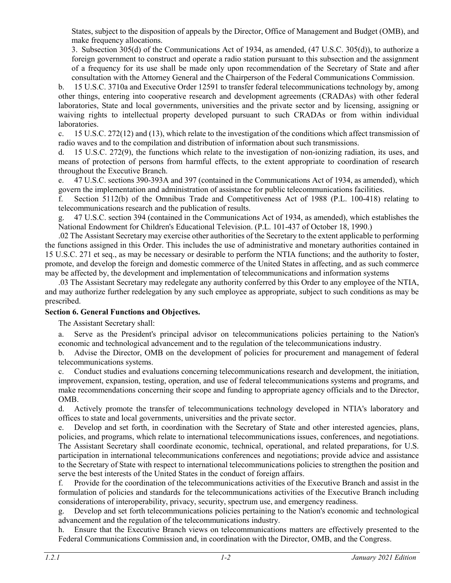States, subject to the disposition of appeals by the Director, Office of Management and Budget (OMB), and make frequency allocations.

3. Subsection 305(d) of the Communications Act of 1934, as amended, (47 U.S.C. 305(d)), to authorize a foreign government to construct and operate a radio station pursuant to this subsection and the assignment of a frequency for its use shall be made only upon recommendation of the Secretary of State and after consultation with the Attorney General and the Chairperson of the Federal Communications Commission.

b. 15 U.S.C. 3710a and Executive Order 12591 to transfer federal telecommunications technology by, among other things, entering into cooperative research and development agreements (CRADAs) with other federal laboratories, State and local governments, universities and the private sector and by licensing, assigning or waiving rights to intellectual property developed pursuant to such CRADAs or from within individual laboratories.

c. 15 U.S.C. 272(12) and (13), which relate to the investigation of the conditions which affect transmission of radio waves and to the compilation and distribution of information about such transmissions.

d. 15 U.S.C. 272(9), the functions which relate to the investigation of non-ionizing radiation, its uses, and means of protection of persons from harmful effects, to the extent appropriate to coordination of research throughout the Executive Branch.

e. 47 U.S.C. sections 390-393A and 397 (contained in the Communications Act of 1934, as amended), which govern the implementation and administration of assistance for public telecommunications facilities.

f. Section 5112(b) of the Omnibus Trade and Competitiveness Act of 1988 (P.L. 100-418) relating to telecommunications research and the publication of results.

g. 47 U.S.C. section 394 (contained in the Communications Act of 1934, as amended), which establishes the National Endowment for Children's Educational Television. (P.L. 101-437 of October 18, 1990.)

.02 The Assistant Secretary may exercise other authorities of the Secretary to the extent applicable to performing the functions assigned in this Order. This includes the use of administrative and monetary authorities contained in 15 U.S.C. 271 et seq., as may be necessary or desirable to perform the NTIA functions; and the authority to foster, promote, and develop the foreign and domestic commerce of the United States in affecting, and as such commerce may be affected by, the development and implementation of telecommunications and information systems

.03 The Assistant Secretary may redelegate any authority conferred by this Order to any employee of the NTIA, and may authorize further redelegation by any such employee as appropriate, subject to such conditions as may be prescribed.

## **Section 6. General Functions and Objectives.**

The Assistant Secretary shall:

a. Serve as the President's principal advisor on telecommunications policies pertaining to the Nation's economic and technological advancement and to the regulation of the telecommunications industry.

b. Advise the Director, OMB on the development of policies for procurement and management of federal telecommunications systems.

c. Conduct studies and evaluations concerning telecommunications research and development, the initiation, improvement, expansion, testing, operation, and use of federal telecommunications systems and programs, and make recommendations concerning their scope and funding to appropriate agency officials and to the Director, OMB.

d. Actively promote the transfer of telecommunications technology developed in NTIA's laboratory and offices to state and local governments, universities and the private sector.

e. Develop and set forth, in coordination with the Secretary of State and other interested agencies, plans, policies, and programs, which relate to international telecommunications issues, conferences, and negotiations. The Assistant Secretary shall coordinate economic, technical, operational, and related preparations, for U.S. participation in international telecommunications conferences and negotiations; provide advice and assistance to the Secretary of State with respect to international telecommunications policies to strengthen the position and serve the best interests of the United States in the conduct of foreign affairs.

f. Provide for the coordination of the telecommunications activities of the Executive Branch and assist in the formulation of policies and standards for the telecommunications activities of the Executive Branch including considerations of interoperability, privacy, security, spectrum use, and emergency readiness.

g. Develop and set forth telecommunications policies pertaining to the Nation's economic and technological advancement and the regulation of the telecommunications industry.

h. Ensure that the Executive Branch views on telecommunications matters are effectively presented to the Federal Communications Commission and, in coordination with the Director, OMB, and the Congress.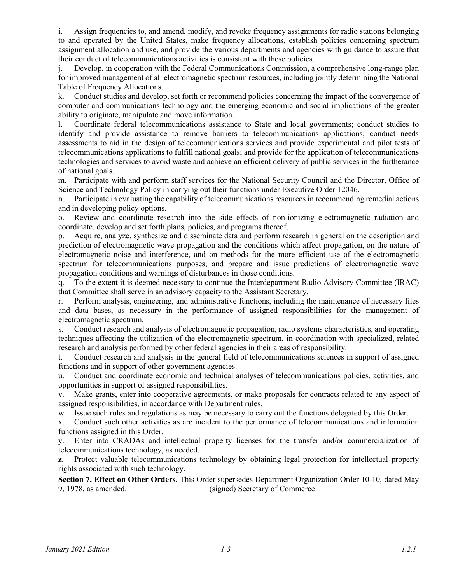i. Assign frequencies to, and amend, modify, and revoke frequency assignments for radio stations belonging to and operated by the United States, make frequency allocations, establish policies concerning spectrum assignment allocation and use, and provide the various departments and agencies with guidance to assure that their conduct of telecommunications activities is consistent with these policies.

j. Develop, in cooperation with the Federal Communications Commission, a comprehensive long-range plan for improved management of all electromagnetic spectrum resources, including jointly determining the National Table of Frequency Allocations.

k. Conduct studies and develop, set forth or recommend policies concerning the impact of the convergence of computer and communications technology and the emerging economic and social implications of the greater ability to originate, manipulate and move information.

l. Coordinate federal telecommunications assistance to State and local governments; conduct studies to identify and provide assistance to remove barriers to telecommunications applications; conduct needs assessments to aid in the design of telecommunications services and provide experimental and pilot tests of telecommunications applications to fulfill national goals; and provide for the application of telecommunications technologies and services to avoid waste and achieve an efficient delivery of public services in the furtherance of national goals.

m. Participate with and perform staff services for the National Security Council and the Director, Office of Science and Technology Policy in carrying out their functions under Executive Order 12046.

n. Participate in evaluating the capability of telecommunications resources in recommending remedial actions and in developing policy options.

o. Review and coordinate research into the side effects of non-ionizing electromagnetic radiation and coordinate, develop and set forth plans, policies, and programs thereof.

p. Acquire, analyze, synthesize and disseminate data and perform research in general on the description and prediction of electromagnetic wave propagation and the conditions which affect propagation, on the nature of electromagnetic noise and interference, and on methods for the more efficient use of the electromagnetic spectrum for telecommunications purposes; and prepare and issue predictions of electromagnetic wave propagation conditions and warnings of disturbances in those conditions.

q. To the extent it is deemed necessary to continue the Interdepartment Radio Advisory Committee (IRAC) that Committee shall serve in an advisory capacity to the Assistant Secretary.

r. Perform analysis, engineering, and administrative functions, including the maintenance of necessary files and data bases, as necessary in the performance of assigned responsibilities for the management of electromagnetic spectrum.

s. Conduct research and analysis of electromagnetic propagation, radio systems characteristics, and operating techniques affecting the utilization of the electromagnetic spectrum, in coordination with specialized, related research and analysis performed by other federal agencies in their areas of responsibility.

t. Conduct research and analysis in the general field of telecommunications sciences in support of assigned functions and in support of other government agencies.

u. Conduct and coordinate economic and technical analyses of telecommunications policies, activities, and opportunities in support of assigned responsibilities.

v. Make grants, enter into cooperative agreements, or make proposals for contracts related to any aspect of assigned responsibilities, in accordance with Department rules.

w. Issue such rules and regulations as may be necessary to carry out the functions delegated by this Order.

x. Conduct such other activities as are incident to the performance of telecommunications and information functions assigned in this Order.

y. Enter into CRADAs and intellectual property licenses for the transfer and/or commercialization of telecommunications technology, as needed.

**z.** Protect valuable telecommunications technology by obtaining legal protection for intellectual property rights associated with such technology.

**Section 7. Effect on Other Orders.** This Order supersedes Department Organization Order 10-10, dated May 9, 1978, as amended. (signed) Secretary of Commerce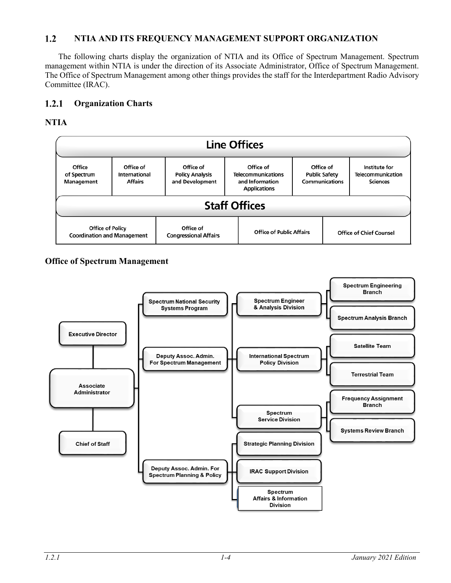#### $1.2$ **NTIA AND ITS FREQUENCY MANAGEMENT SUPPORT ORGANIZATION**

The following charts display the organization of NTIA and its Office of Spectrum Management. Spectrum management within NTIA is under the direction of its Associate Administrator, Office of Spectrum Management. The Office of Spectrum Management among other things provides the staff for the Interdepartment Radio Advisory Committee (IRAC).

#### $1.2.1$ **Organization Charts**

## **NTIA**



## **Office of Spectrum Management**

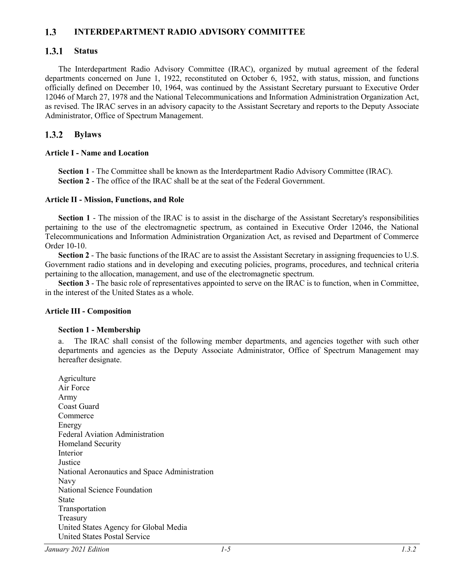#### $1.3$ **INTERDEPARTMENT RADIO ADVISORY COMMITTEE**

#### $1.3.1$ **Status**

The Interdepartment Radio Advisory Committee (IRAC), organized by mutual agreement of the federal departments concerned on June 1, 1922, reconstituted on October 6, 1952, with status, mission, and functions officially defined on December 10, 1964, was continued by the Assistant Secretary pursuant to Executive Order 12046 of March 27, 1978 and the National Telecommunications and Information Administration Organization Act, as revised. The IRAC serves in an advisory capacity to the Assistant Secretary and reports to the Deputy Associate Administrator, Office of Spectrum Management.

#### 1.3.2 **Bylaws**

## **Article I - Name and Location**

**Section 1** - The Committee shall be known as the Interdepartment Radio Advisory Committee (IRAC). **Section 2** - The office of the IRAC shall be at the seat of the Federal Government.

## **Article II - Mission, Functions, and Role**

**Section 1** - The mission of the IRAC is to assist in the discharge of the Assistant Secretary's responsibilities pertaining to the use of the electromagnetic spectrum, as contained in Executive Order 12046, the National Telecommunications and Information Administration Organization Act, as revised and Department of Commerce Order 10-10.

**Section 2** - The basic functions of the IRAC are to assist the Assistant Secretary in assigning frequencies to U.S. Government radio stations and in developing and executing policies, programs, procedures, and technical criteria pertaining to the allocation, management, and use of the electromagnetic spectrum.

**Section 3** - The basic role of representatives appointed to serve on the IRAC is to function, when in Committee, in the interest of the United States as a whole.

## **Article III - Composition**

## **Section 1 - Membership**

a. The IRAC shall consist of the following member departments, and agencies together with such other departments and agencies as the Deputy Associate Administrator, Office of Spectrum Management may hereafter designate.

Agriculture Air Force Army Coast Guard Commerce Energy Federal Aviation Administration Homeland Security Interior **Justice** National Aeronautics and Space Administration Navy National Science Foundation State Transportation Treasury United States Agency for Global Media United States Postal Service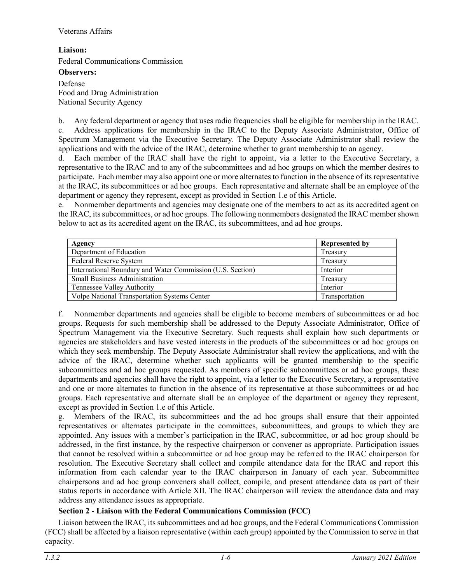## Veterans Affairs

## **Liaison:**

Federal Communications Commission

**Observers:** Defense Food and Drug Administration National Security Agency

b. Any federal department or agency that uses radio frequencies shall be eligible for membership in the IRAC. c. Address applications for membership in the IRAC to the Deputy Associate Administrator, Office of Spectrum Management via the Executive Secretary. The Deputy Associate Administrator shall review the applications and with the advice of the IRAC, determine whether to grant membership to an agency.

d. Each member of the IRAC shall have the right to appoint, via a letter to the Executive Secretary, a representative to the IRAC and to any of the subcommittees and ad hoc groups on which the member desires to participate. Each member may also appoint one or more alternates to function in the absence of its representative at the IRAC, its subcommittees or ad hoc groups. Each representative and alternate shall be an employee of the department or agency they represent, except as provided in Section 1.e of this Article.

e. Nonmember departments and agencies may designate one of the members to act as its accredited agent on the IRAC, its subcommittees, or ad hoc groups. The following nonmembers designated the IRAC member shown below to act as its accredited agent on the IRAC, its subcommittees, and ad hoc groups.

| Agency                                                     | <b>Represented by</b> |
|------------------------------------------------------------|-----------------------|
| Department of Education                                    | Treasury              |
| Federal Reserve System                                     | Treasury              |
| International Boundary and Water Commission (U.S. Section) | Interior              |
| <b>Small Business Administration</b>                       | Treasury              |
| Tennessee Valley Authority                                 | Interior              |
| <b>Volpe National Transportation Systems Center</b>        | Transportation        |

f. Nonmember departments and agencies shall be eligible to become members of subcommittees or ad hoc groups. Requests for such membership shall be addressed to the Deputy Associate Administrator, Office of Spectrum Management via the Executive Secretary. Such requests shall explain how such departments or agencies are stakeholders and have vested interests in the products of the subcommittees or ad hoc groups on which they seek membership. The Deputy Associate Administrator shall review the applications, and with the advice of the IRAC, determine whether such applicants will be granted membership to the specific subcommittees and ad hoc groups requested. As members of specific subcommittees or ad hoc groups, these departments and agencies shall have the right to appoint, via a letter to the Executive Secretary, a representative and one or more alternates to function in the absence of its representative at those subcommittees or ad hoc groups. Each representative and alternate shall be an employee of the department or agency they represent, except as provided in Section 1.e of this Article.

g. Members of the IRAC, its subcommittees and the ad hoc groups shall ensure that their appointed representatives or alternates participate in the committees, subcommittees, and groups to which they are appointed. Any issues with a member's participation in the IRAC, subcommittee, or ad hoc group should be addressed, in the first instance, by the respective chairperson or convener as appropriate. Participation issues that cannot be resolved within a subcommittee or ad hoc group may be referred to the IRAC chairperson for resolution. The Executive Secretary shall collect and compile attendance data for the IRAC and report this information from each calendar year to the IRAC chairperson in January of each year. Subcommittee chairpersons and ad hoc group conveners shall collect, compile, and present attendance data as part of their status reports in accordance with Article XII. The IRAC chairperson will review the attendance data and may address any attendance issues as appropriate.

## **Section 2 - Liaison with the Federal Communications Commission (FCC)**

Liaison between the IRAC, its subcommittees and ad hoc groups, and the Federal Communications Commission (FCC) shall be affected by a liaison representative (within each group) appointed by the Commission to serve in that capacity.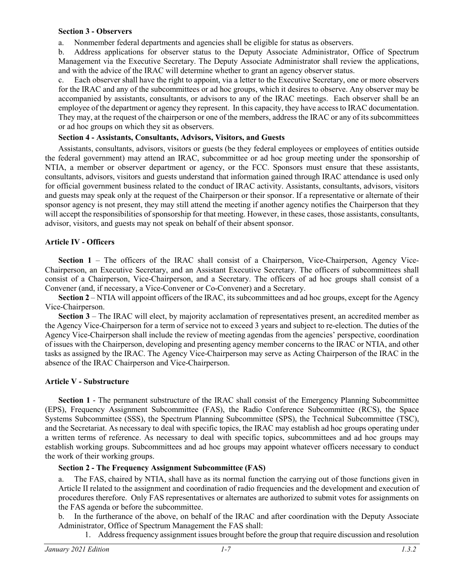## **Section 3 - Observers**

a. Nonmember federal departments and agencies shall be eligible for status as observers.

b. Address applications for observer status to the Deputy Associate Administrator, Office of Spectrum Management via the Executive Secretary. The Deputy Associate Administrator shall review the applications, and with the advice of the IRAC will determine whether to grant an agency observer status.

c. Each observer shall have the right to appoint, via a letter to the Executive Secretary, one or more observers for the IRAC and any of the subcommittees or ad hoc groups, which it desires to observe. Any observer may be accompanied by assistants, consultants, or advisors to any of the IRAC meetings. Each observer shall be an employee of the department or agency they represent. In this capacity, they have access to IRAC documentation. They may, at the request of the chairperson or one of the members, address the IRAC or any of its subcommittees or ad hoc groups on which they sit as observers.

## **Section 4 - Assistants, Consultants, Advisors, Visitors, and Guests**

Assistants, consultants, advisors, visitors or guests (be they federal employees or employees of entities outside the federal government) may attend an IRAC, subcommittee or ad hoc group meeting under the sponsorship of NTIA, a member or observer department or agency, or the FCC. Sponsors must ensure that these assistants, consultants, advisors, visitors and guests understand that information gained through IRAC attendance is used only for official government business related to the conduct of IRAC activity. Assistants, consultants, advisors, visitors and guests may speak only at the request of the Chairperson or their sponsor. If a representative or alternate of their sponsor agency is not present, they may still attend the meeting if another agency notifies the Chairperson that they will accept the responsibilities of sponsorship for that meeting. However, in these cases, those assistants, consultants, advisor, visitors, and guests may not speak on behalf of their absent sponsor.

## **Article IV - Officers**

**Section 1** – The officers of the IRAC shall consist of a Chairperson, Vice-Chairperson, Agency Vice-Chairperson, an Executive Secretary, and an Assistant Executive Secretary. The officers of subcommittees shall consist of a Chairperson, Vice-Chairperson, and a Secretary. The officers of ad hoc groups shall consist of a Convener (and, if necessary, a Vice-Convener or Co-Convener) and a Secretary.

**Section 2** – NTIA will appoint officers of the IRAC, its subcommittees and ad hoc groups, except for the Agency Vice-Chairperson.

**Section 3** – The IRAC will elect, by majority acclamation of representatives present, an accredited member as the Agency Vice-Chairperson for a term of service not to exceed 3 years and subject to re-election. The duties of the Agency Vice-Chairperson shall include the review of meeting agendas from the agencies' perspective, coordination of issues with the Chairperson, developing and presenting agency member concerns to the IRAC or NTIA, and other tasks as assigned by the IRAC. The Agency Vice-Chairperson may serve as Acting Chairperson of the IRAC in the absence of the IRAC Chairperson and Vice-Chairperson.

## **Article V - Substructure**

**Section 1** - The permanent substructure of the IRAC shall consist of the Emergency Planning Subcommittee (EPS), Frequency Assignment Subcommittee (FAS), the Radio Conference Subcommittee (RCS), the Space Systems Subcommittee (SSS), the Spectrum Planning Subcommittee (SPS), the Technical Subcommittee (TSC), and the Secretariat. As necessary to deal with specific topics, the IRAC may establish ad hoc groups operating under a written terms of reference. As necessary to deal with specific topics, subcommittees and ad hoc groups may establish working groups. Subcommittees and ad hoc groups may appoint whatever officers necessary to conduct the work of their working groups.

## **Section 2 - The Frequency Assignment Subcommittee (FAS)**

a. The FAS, chaired by NTIA, shall have as its normal function the carrying out of those functions given in Article II related to the assignment and coordination of radio frequencies and the development and execution of procedures therefore. Only FAS representatives or alternates are authorized to submit votes for assignments on the FAS agenda or before the subcommittee.

b. In the furtherance of the above, on behalf of the IRAC and after coordination with the Deputy Associate Administrator, Office of Spectrum Management the FAS shall:

1. Address frequency assignment issues brought before the group that require discussion and resolution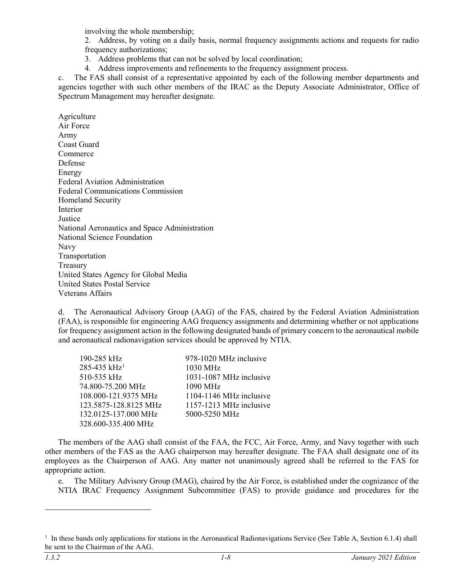involving the whole membership;

2. Address, by voting on a daily basis, normal frequency assignments actions and requests for radio frequency authorizations;

- 3. Address problems that can not be solved by local coordination;
- 4. Address improvements and refinements to the frequency assignment process.

c. The FAS shall consist of a representative appointed by each of the following member departments and agencies together with such other members of the IRAC as the Deputy Associate Administrator, Office of Spectrum Management may hereafter designate.

Agriculture Air Force Army Coast Guard **Commerce** Defense Energy Federal Aviation Administration Federal Communications Commission Homeland Security Interior **Justice** National Aeronautics and Space Administration National Science Foundation Navy Transportation Treasury United States Agency for Global Media United States Postal Service Veterans Affairs

d. The Aeronautical Advisory Group (AAG) of the FAS, chaired by the Federal Aviation Administration (FAA), is responsible for engineering AAG frequency assignments and determining whether or not applications for frequency assignment action in the following designated bands of primary concern to the aeronautical mobile and aeronautical radionavigation services should be approved by NTIA.

| 190-285 kHz                | 978-1020 MHz inclusive  |
|----------------------------|-------------------------|
| 285-435 $kHz$ <sup>1</sup> | 1030 MHz                |
| 510-535 kHz                | 1031-1087 MHz inclusive |
| 74.800-75.200 MHz          | 1090 MHz                |
| 108.000-121.9375 MHz       | 1104-1146 MHz inclusive |
| 123.5875-128.8125 MHz      | 1157-1213 MHz inclusive |
| 132.0125-137.000 MHz       | 5000-5250 MHz           |
| 328.600-335.400 MHz        |                         |

The members of the AAG shall consist of the FAA, the FCC, Air Force, Army, and Navy together with such other members of the FAS as the AAG chairperson may hereafter designate. The FAA shall designate one of its employees as the Chairperson of AAG. Any matter not unanimously agreed shall be referred to the FAS for appropriate action.

e. The Military Advisory Group (MAG), chaired by the Air Force, is established under the cognizance of the NTIA IRAC Frequency Assignment Subcommittee (FAS) to provide guidance and procedures for the

 $\overline{a}$ 

<span id="page-7-0"></span><sup>&</sup>lt;sup>1</sup> In these bands only applications for stations in the Aeronautical Radionavigations Service (See Table A, Section 6.1.4) shall be sent to the Chairman of the AAG.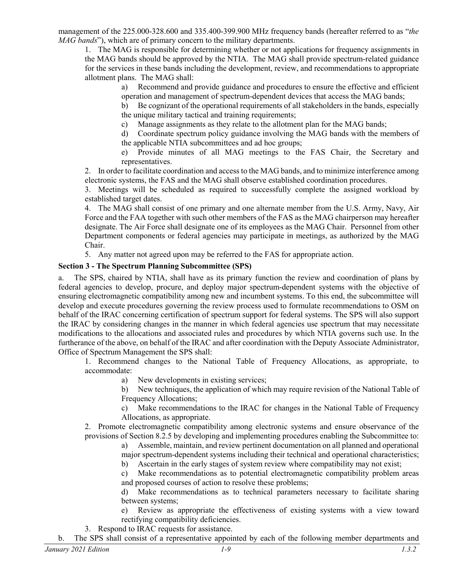management of the 225.000-328.600 and 335.400-399.900 MHz frequency bands (hereafter referred to as "*the MAG bands*"), which are of primary concern to the military departments.

1. The MAG is responsible for determining whether or not applications for frequency assignments in the MAG bands should be approved by the NTIA. The MAG shall provide spectrum-related guidance for the services in these bands including the development, review, and recommendations to appropriate allotment plans. The MAG shall:

a) Recommend and provide guidance and procedures to ensure the effective and efficient

operation and management of spectrum-dependent devices that access the MAG bands;

b) Be cognizant of the operational requirements of all stakeholders in the bands, especially the unique military tactical and training requirements;

c) Manage assignments as they relate to the allotment plan for the MAG bands;

d) Coordinate spectrum policy guidance involving the MAG bands with the members of the applicable NTIA subcommittees and ad hoc groups;

e) Provide minutes of all MAG meetings to the FAS Chair, the Secretary and representatives.

2. In order to facilitate coordination and access to the MAG bands, and to minimize interference among electronic systems, the FAS and the MAG shall observe established coordination procedures.

3. Meetings will be scheduled as required to successfully complete the assigned workload by established target dates.

4. The MAG shall consist of one primary and one alternate member from the U.S. Army, Navy, Air Force and the FAA together with such other members of the FAS as the MAG chairperson may hereafter designate. The Air Force shall designate one of its employees as the MAG Chair. Personnel from other Department components or federal agencies may participate in meetings, as authorized by the MAG Chair.

5. Any matter not agreed upon may be referred to the FAS for appropriate action.

## **Section 3 - The Spectrum Planning Subcommittee (SPS)**

a. The SPS, chaired by NTIA, shall have as its primary function the review and coordination of plans by federal agencies to develop, procure, and deploy major spectrum-dependent systems with the objective of ensuring electromagnetic compatibility among new and incumbent systems. To this end, the subcommittee will develop and execute procedures governing the review process used to formulate recommendations to OSM on behalf of the IRAC concerning certification of spectrum support for federal systems. The SPS will also support the IRAC by considering changes in the manner in which federal agencies use spectrum that may necessitate modifications to the allocations and associated rules and procedures by which NTIA governs such use. In the furtherance of the above, on behalf of the IRAC and after coordination with the Deputy Associate Administrator, Office of Spectrum Management the SPS shall:

1. Recommend changes to the National Table of Frequency Allocations, as appropriate, to accommodate:

a) New developments in existing services;

b) New techniques, the application of which may require revision of the National Table of Frequency Allocations;

c) Make recommendations to the IRAC for changes in the National Table of Frequency Allocations, as appropriate.

2. Promote electromagnetic compatibility among electronic systems and ensure observance of the provisions of Section 8.2.5 by developing and implementing procedures enabling the Subcommittee to:

a) Assemble, maintain, and review pertinent documentation on all planned and operational major spectrum-dependent systems including their technical and operational characteristics;

b) Ascertain in the early stages of system review where compatibility may not exist;

c) Make recommendations as to potential electromagnetic compatibility problem areas and proposed courses of action to resolve these problems;

d) Make recommendations as to technical parameters necessary to facilitate sharing between systems;

e) Review as appropriate the effectiveness of existing systems with a view toward rectifying compatibility deficiencies.

- 3. Respond to IRAC requests for assistance.
- b. The SPS shall consist of a representative appointed by each of the following member departments and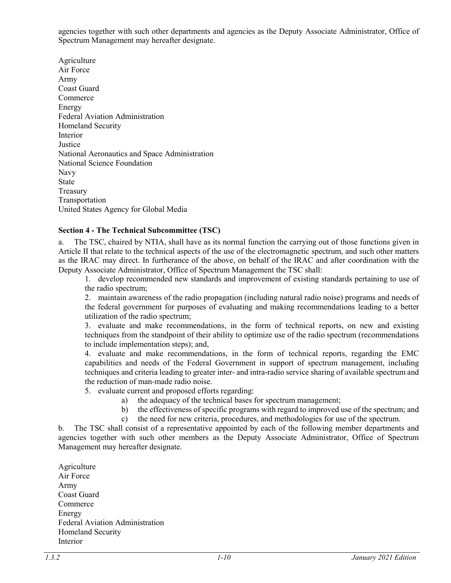agencies together with such other departments and agencies as the Deputy Associate Administrator, Office of Spectrum Management may hereafter designate.

Agriculture Air Force Army Coast Guard Commerce Energy Federal Aviation Administration Homeland Security Interior Justice National Aeronautics and Space Administration National Science Foundation Navy State Treasury Transportation United States Agency for Global Media

## **Section 4 - The Technical Subcommittee (TSC)**

a. The TSC, chaired by NTIA, shall have as its normal function the carrying out of those functions given in Article II that relate to the technical aspects of the use of the electromagnetic spectrum, and such other matters as the IRAC may direct. In furtherance of the above, on behalf of the IRAC and after coordination with the Deputy Associate Administrator, Office of Spectrum Management the TSC shall:

1. develop recommended new standards and improvement of existing standards pertaining to use of the radio spectrum;

2. maintain awareness of the radio propagation (including natural radio noise) programs and needs of the federal government for purposes of evaluating and making recommendations leading to a better utilization of the radio spectrum;

3. evaluate and make recommendations, in the form of technical reports, on new and existing techniques from the standpoint of their ability to optimize use of the radio spectrum (recommendations to include implementation steps); and,

4. evaluate and make recommendations, in the form of technical reports, regarding the EMC capabilities and needs of the Federal Government in support of spectrum management, including techniques and criteria leading to greater inter- and intra-radio service sharing of available spectrum and the reduction of man-made radio noise.

5. evaluate current and proposed efforts regarding:

- a) the adequacy of the technical bases for spectrum management;
- b) the effectiveness of specific programs with regard to improved use of the spectrum; and
- c) the need for new criteria, procedures, and methodologies for use of the spectrum.

b. The TSC shall consist of a representative appointed by each of the following member departments and agencies together with such other members as the Deputy Associate Administrator, Office of Spectrum Management may hereafter designate.

Agriculture Air Force Army Coast Guard Commerce Energy Federal Aviation Administration Homeland Security Interior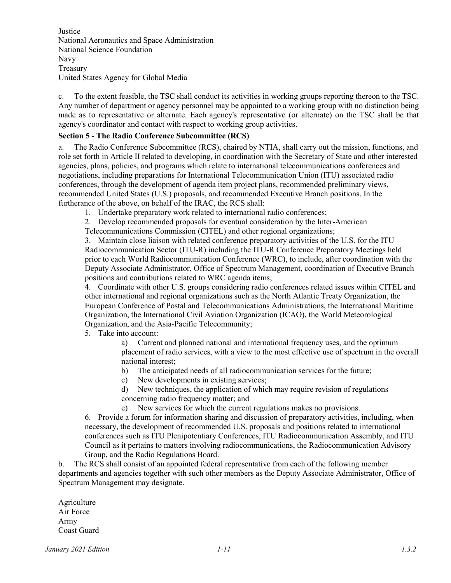Justice National Aeronautics and Space Administration National Science Foundation Navy Treasury United States Agency for Global Media

c. To the extent feasible, the TSC shall conduct its activities in working groups reporting thereon to the TSC. Any number of department or agency personnel may be appointed to a working group with no distinction being made as to representative or alternate. Each agency's representative (or alternate) on the TSC shall be that agency's coordinator and contact with respect to working group activities.

## **Section 5 - The Radio Conference Subcommittee (RCS)**

a. The Radio Conference Subcommittee (RCS), chaired by NTIA, shall carry out the mission, functions, and role set forth in Article II related to developing, in coordination with the Secretary of State and other interested agencies, plans, policies, and programs which relate to international telecommunications conferences and negotiations, including preparations for International Telecommunication Union (ITU) associated radio conferences, through the development of agenda item project plans, recommended preliminary views, recommended United States (U.S.) proposals, and recommended Executive Branch positions. In the furtherance of the above, on behalf of the IRAC, the RCS shall:

- 1. Undertake preparatory work related to international radio conferences;
- 2. Develop recommended proposals for eventual consideration by the Inter-American

Telecommunications Commission (CITEL) and other regional organizations;

3. Maintain close liaison with related conference preparatory activities of the U.S. for the ITU Radiocommunication Sector (ITU-R) including the ITU-R Conference Preparatory Meetings held prior to each World Radiocommunication Conference (WRC), to include, after coordination with the Deputy Associate Administrator, Office of Spectrum Management, coordination of Executive Branch positions and contributions related to WRC agenda items;

4. Coordinate with other U.S. groups considering radio conferences related issues within CITEL and other international and regional organizations such as the North Atlantic Treaty Organization, the European Conference of Postal and Telecommunications Administrations, the International Maritime Organization, the International Civil Aviation Organization (ICAO), the World Meteorological Organization, and the Asia-Pacific Telecommunity;

5. Take into account:

a) Current and planned national and international frequency uses, and the optimum placement of radio services, with a view to the most effective use of spectrum in the overall national interest;

- b) The anticipated needs of all radiocommunication services for the future;
- c) New developments in existing services;
- d) New techniques, the application of which may require revision of regulations concerning radio frequency matter; and
- e) New services for which the current regulations makes no provisions.

6. Provide a forum for information sharing and discussion of preparatory activities, including, when necessary, the development of recommended U.S. proposals and positions related to international conferences such as ITU Plenipotentiary Conferences, ITU Radiocommunication Assembly, and ITU Council as it pertains to matters involving radiocommunications, the Radiocommunication Advisory Group, and the Radio Regulations Board.

b. The RCS shall consist of an appointed federal representative from each of the following member departments and agencies together with such other members as the Deputy Associate Administrator, Office of Spectrum Management may designate.

Agriculture Air Force Army Coast Guard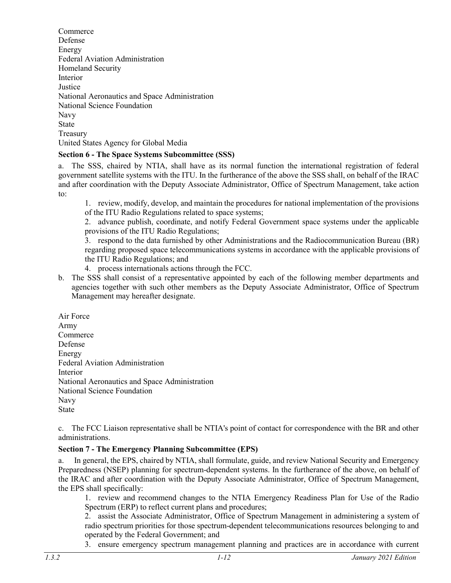Commerce Defense Energy Federal Aviation Administration Homeland Security Interior Justice National Aeronautics and Space Administration National Science Foundation Navy State Treasury United States Agency for Global Media

## **Section 6 - The Space Systems Subcommittee (SSS)**

a. The SSS, chaired by NTIA, shall have as its normal function the international registration of federal government satellite systems with the ITU. In the furtherance of the above the SSS shall, on behalf of the IRAC and after coordination with the Deputy Associate Administrator, Office of Spectrum Management, take action to:

1. review, modify, develop, and maintain the procedures for national implementation of the provisions of the ITU Radio Regulations related to space systems;

2. advance publish, coordinate, and notify Federal Government space systems under the applicable provisions of the ITU Radio Regulations;

3. respond to the data furnished by other Administrations and the Radiocommunication Bureau (BR) regarding proposed space telecommunications systems in accordance with the applicable provisions of the ITU Radio Regulations; and

- 4. process internationals actions through the FCC.
- b. The SSS shall consist of a representative appointed by each of the following member departments and agencies together with such other members as the Deputy Associate Administrator, Office of Spectrum Management may hereafter designate.

Air Force Army Commerce Defense Energy Federal Aviation Administration Interior National Aeronautics and Space Administration National Science Foundation Navy State

c. The FCC Liaison representative shall be NTIA's point of contact for correspondence with the BR and other administrations.

## **Section 7 - The Emergency Planning Subcommittee (EPS)**

a. In general, the EPS, chaired by NTIA, shall formulate, guide, and review National Security and Emergency Preparedness (NSEP) planning for spectrum-dependent systems. In the furtherance of the above, on behalf of the IRAC and after coordination with the Deputy Associate Administrator, Office of Spectrum Management, the EPS shall specifically:

1. review and recommend changes to the NTIA Emergency Readiness Plan for Use of the Radio Spectrum (ERP) to reflect current plans and procedures;

2. assist the Associate Administrator, Office of Spectrum Management in administering a system of radio spectrum priorities for those spectrum-dependent telecommunications resources belonging to and operated by the Federal Government; and

3. ensure emergency spectrum management planning and practices are in accordance with current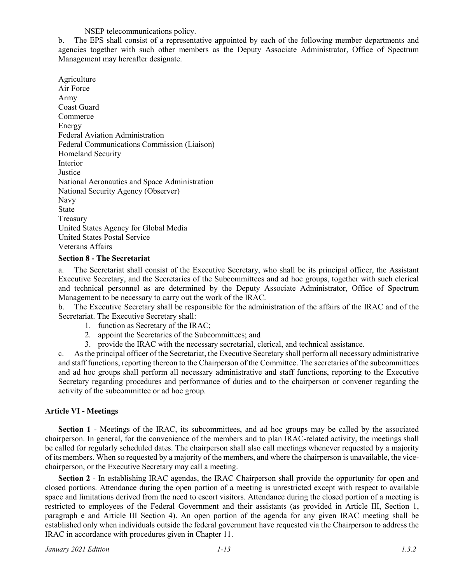NSEP telecommunications policy.

b. The EPS shall consist of a representative appointed by each of the following member departments and agencies together with such other members as the Deputy Associate Administrator, Office of Spectrum Management may hereafter designate.

**Agriculture** Air Force Army Coast Guard Commerce Energy Federal Aviation Administration Federal Communications Commission (Liaison) Homeland Security Interior **Justice** National Aeronautics and Space Administration National Security Agency (Observer) Navy State Treasury United States Agency for Global Media United States Postal Service Veterans Affairs

## **Section 8 - The Secretariat**

a. The Secretariat shall consist of the Executive Secretary, who shall be its principal officer, the Assistant Executive Secretary, and the Secretaries of the Subcommittees and ad hoc groups, together with such clerical and technical personnel as are determined by the Deputy Associate Administrator, Office of Spectrum Management to be necessary to carry out the work of the IRAC.

b. The Executive Secretary shall be responsible for the administration of the affairs of the IRAC and of the Secretariat. The Executive Secretary shall:

- 1. function as Secretary of the IRAC;
- 2. appoint the Secretaries of the Subcommittees; and
- 3. provide the IRAC with the necessary secretarial, clerical, and technical assistance.

c. As the principal officer of the Secretariat, the Executive Secretary shall perform all necessary administrative and staff functions, reporting thereon to the Chairperson of the Committee. The secretaries of the subcommittees and ad hoc groups shall perform all necessary administrative and staff functions, reporting to the Executive Secretary regarding procedures and performance of duties and to the chairperson or convener regarding the activity of the subcommittee or ad hoc group.

## **Article VI - Meetings**

**Section 1** - Meetings of the IRAC, its subcommittees, and ad hoc groups may be called by the associated chairperson. In general, for the convenience of the members and to plan IRAC-related activity, the meetings shall be called for regularly scheduled dates. The chairperson shall also call meetings whenever requested by a majority of its members. When so requested by a majority of the members, and where the chairperson is unavailable, the vicechairperson, or the Executive Secretary may call a meeting.

**Section 2** - In establishing IRAC agendas, the IRAC Chairperson shall provide the opportunity for open and closed portions. Attendance during the open portion of a meeting is unrestricted except with respect to available space and limitations derived from the need to escort visitors. Attendance during the closed portion of a meeting is restricted to employees of the Federal Government and their assistants (as provided in Article III, Section 1, paragraph e and Article III Section 4). An open portion of the agenda for any given IRAC meeting shall be established only when individuals outside the federal government have requested via the Chairperson to address the IRAC in accordance with procedures given in Chapter 11.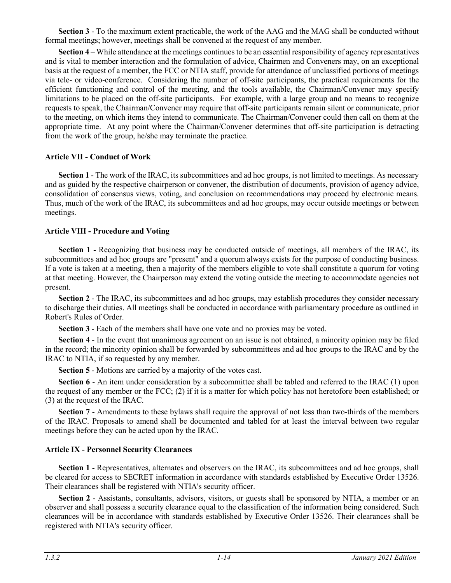**Section 3** - To the maximum extent practicable, the work of the AAG and the MAG shall be conducted without formal meetings; however, meetings shall be convened at the request of any member.

**Section 4** – While attendance at the meetings continues to be an essential responsibility of agency representatives and is vital to member interaction and the formulation of advice, Chairmen and Conveners may, on an exceptional basis at the request of a member, the FCC or NTIA staff, provide for attendance of unclassified portions of meetings via tele- or video-conference. Considering the number of off-site participants, the practical requirements for the efficient functioning and control of the meeting, and the tools available, the Chairman/Convener may specify limitations to be placed on the off-site participants. For example, with a large group and no means to recognize requests to speak, the Chairman/Convener may require that off-site participants remain silent or communicate, prior to the meeting, on which items they intend to communicate. The Chairman/Convener could then call on them at the appropriate time. At any point where the Chairman/Convener determines that off-site participation is detracting from the work of the group, he/she may terminate the practice.

## **Article VII - Conduct of Work**

**Section 1** - The work of the IRAC, its subcommittees and ad hoc groups, is not limited to meetings. As necessary and as guided by the respective chairperson or convener, the distribution of documents, provision of agency advice, consolidation of consensus views, voting, and conclusion on recommendations may proceed by electronic means. Thus, much of the work of the IRAC, its subcommittees and ad hoc groups, may occur outside meetings or between meetings.

## **Article VIII - Procedure and Voting**

**Section 1** - Recognizing that business may be conducted outside of meetings, all members of the IRAC, its subcommittees and ad hoc groups are "present" and a quorum always exists for the purpose of conducting business. If a vote is taken at a meeting, then a majority of the members eligible to vote shall constitute a quorum for voting at that meeting. However, the Chairperson may extend the voting outside the meeting to accommodate agencies not present.

**Section 2** - The IRAC, its subcommittees and ad hoc groups, may establish procedures they consider necessary to discharge their duties. All meetings shall be conducted in accordance with parliamentary procedure as outlined in Robert's Rules of Order.

**Section 3** - Each of the members shall have one vote and no proxies may be voted.

**Section 4** - In the event that unanimous agreement on an issue is not obtained, a minority opinion may be filed in the record; the minority opinion shall be forwarded by subcommittees and ad hoc groups to the IRAC and by the IRAC to NTIA, if so requested by any member.

**Section 5** - Motions are carried by a majority of the votes cast.

**Section 6** - An item under consideration by a subcommittee shall be tabled and referred to the IRAC (1) upon the request of any member or the FCC; (2) if it is a matter for which policy has not heretofore been established; or (3) at the request of the IRAC.

**Section 7** - Amendments to these bylaws shall require the approval of not less than two-thirds of the members of the IRAC. Proposals to amend shall be documented and tabled for at least the interval between two regular meetings before they can be acted upon by the IRAC.

## **Article IX - Personnel Security Clearances**

**Section 1** - Representatives, alternates and observers on the IRAC, its subcommittees and ad hoc groups, shall be cleared for access to SECRET information in accordance with standards established by Executive Order 13526. Their clearances shall be registered with NTIA's security officer.

**Section 2** - Assistants, consultants, advisors, visitors, or guests shall be sponsored by NTIA, a member or an observer and shall possess a security clearance equal to the classification of the information being considered. Such clearances will be in accordance with standards established by Executive Order 13526. Their clearances shall be registered with NTIA's security officer.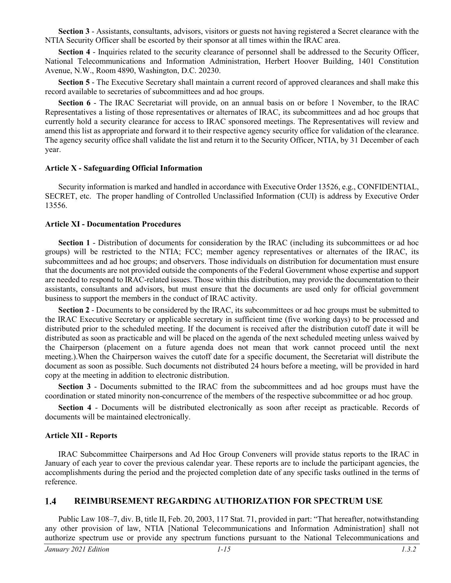**Section 3** - Assistants, consultants, advisors, visitors or guests not having registered a Secret clearance with the NTIA Security Officer shall be escorted by their sponsor at all times within the IRAC area.

**Section 4** - Inquiries related to the security clearance of personnel shall be addressed to the Security Officer, National Telecommunications and Information Administration, Herbert Hoover Building, 1401 Constitution Avenue, N.W., Room 4890, Washington, D.C. 20230.

**Section 5** - The Executive Secretary shall maintain a current record of approved clearances and shall make this record available to secretaries of subcommittees and ad hoc groups.

**Section 6** - The IRAC Secretariat will provide, on an annual basis on or before 1 November, to the IRAC Representatives a listing of those representatives or alternates of IRAC, its subcommittees and ad hoc groups that currently hold a security clearance for access to IRAC sponsored meetings. The Representatives will review and amend this list as appropriate and forward it to their respective agency security office for validation of the clearance. The agency security office shall validate the list and return it to the Security Officer, NTIA, by 31 December of each year.

## **Article X - Safeguarding Official Information**

Security information is marked and handled in accordance with Executive Order 13526, e.g., CONFIDENTIAL, SECRET, etc. The proper handling of Controlled Unclassified Information (CUI) is address by Executive Order 13556.

### **Article XI - Documentation Procedures**

**Section 1** - Distribution of documents for consideration by the IRAC (including its subcommittees or ad hoc groups) will be restricted to the NTIA; FCC; member agency representatives or alternates of the IRAC, its subcommittees and ad hoc groups; and observers. Those individuals on distribution for documentation must ensure that the documents are not provided outside the components of the Federal Government whose expertise and support are needed to respond to IRAC-related issues. Those within this distribution, may provide the documentation to their assistants, consultants and advisors, but must ensure that the documents are used only for official government business to support the members in the conduct of IRAC activity.

**Section 2** - Documents to be considered by the IRAC, its subcommittees or ad hoc groups must be submitted to the IRAC Executive Secretary or applicable secretary in sufficient time (five working days) to be processed and distributed prior to the scheduled meeting. If the document is received after the distribution cutoff date it will be distributed as soon as practicable and will be placed on the agenda of the next scheduled meeting unless waived by the Chairperson (placement on a future agenda does not mean that work cannot proceed until the next meeting.).When the Chairperson waives the cutoff date for a specific document, the Secretariat will distribute the document as soon as possible. Such documents not distributed 24 hours before a meeting, will be provided in hard copy at the meeting in addition to electronic distribution.

**Section 3** - Documents submitted to the IRAC from the subcommittees and ad hoc groups must have the coordination or stated minority non-concurrence of the members of the respective subcommittee or ad hoc group.

**Section 4** - Documents will be distributed electronically as soon after receipt as practicable. Records of documents will be maintained electronically.

## **Article XII - Reports**

IRAC Subcommittee Chairpersons and Ad Hoc Group Conveners will provide status reports to the IRAC in January of each year to cover the previous calendar year. These reports are to include the participant agencies, the accomplishments during the period and the projected completion date of any specific tasks outlined in the terms of reference.

#### **REIMBURSEMENT REGARDING AUTHORIZATION FOR SPECTRUM USE**  $1.4$

Public Law 108–7, div. B, title II, Feb. 20, 2003, 117 Stat. 71, provided in part: "That hereafter, notwithstanding any other provision of law, NTIA [National Telecommunications and Information Administration] shall not authorize spectrum use or provide any spectrum functions pursuant to the National Telecommunications and